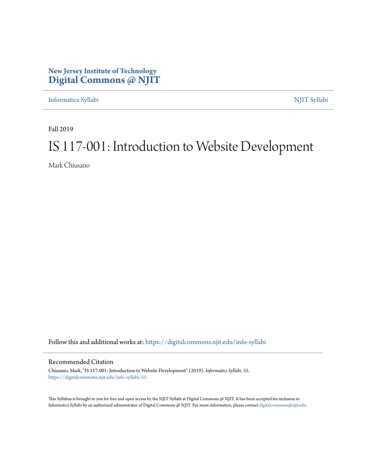### **New Jersey Institute of Technology [Digital Commons @ NJIT](https://digitalcommons.njit.edu/?utm_source=digitalcommons.njit.edu%2Finfo-syllabi%2F55&utm_medium=PDF&utm_campaign=PDFCoverPages)**

[Informatics Syllabi](https://digitalcommons.njit.edu/info-syllabi?utm_source=digitalcommons.njit.edu%2Finfo-syllabi%2F55&utm_medium=PDF&utm_campaign=PDFCoverPages) [NJIT Syllabi](https://digitalcommons.njit.edu/syllabi?utm_source=digitalcommons.njit.edu%2Finfo-syllabi%2F55&utm_medium=PDF&utm_campaign=PDFCoverPages)

Fall 2019

# IS 117-001: Introduction to Website Development

Mark Chiusano

Follow this and additional works at: [https://digitalcommons.njit.edu/info-syllabi](https://digitalcommons.njit.edu/info-syllabi?utm_source=digitalcommons.njit.edu%2Finfo-syllabi%2F55&utm_medium=PDF&utm_campaign=PDFCoverPages)

#### Recommended Citation

Chiusano, Mark, "IS 117-001: Introduction to Website Development" (2019). *Informatics Syllabi*. 55. [https://digitalcommons.njit.edu/info-syllabi/55](https://digitalcommons.njit.edu/info-syllabi/55?utm_source=digitalcommons.njit.edu%2Finfo-syllabi%2F55&utm_medium=PDF&utm_campaign=PDFCoverPages)

This Syllabus is brought to you for free and open access by the NJIT Syllabi at Digital Commons @ NJIT. It has been accepted for inclusion in Informatics Syllabi by an authorized administrator of Digital Commons @ NJIT. For more information, please contact [digitalcommons@njit.edu.](mailto:digitalcommons@njit.edu)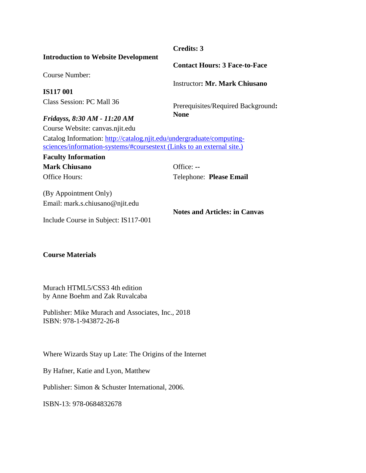#### **Credits: 3**

#### **Introduction to Website Development**

Course Number:

**IS117 001** Class Session: PC Mall 36 **Contact Hours: 3 Face-to-Face**

Instructor**: Mr. Mark Chiusano**

Prerequisites/Required Background**: None**

#### *Fridayss, 8:30 AM - 11:20 AM*

Course Website: canvas.njit.edu

Catalog Information: [http://catalog.njit.edu/undergraduate/computing](http://catalog.njit.edu/undergraduate/computing-sciences/information-systems/#coursestext)[sciences/information-systems/#coursestext](http://catalog.njit.edu/undergraduate/computing-sciences/information-systems/#coursestext) (Links to an external site.)

**Faculty Information Mark Chiusano** Office: --Office Hours:

Telephone: **Please Email**

(By Appointment Only) Email: mark.s.chiusano@njit.edu

**Notes and Articles: in Canvas**

Include Course in Subject: IS117-001

#### **Course Materials**

Murach HTML5/CSS3 4th edition by Anne Boehm and Zak Ruvalcaba

Publisher: Mike Murach and Associates, Inc., 2018 ISBN: 978-1-943872-26-8

Where Wizards Stay up Late: The Origins of the Internet

By Hafner, Katie and Lyon, Matthew

Publisher: Simon & Schuster International, 2006.

ISBN-13: 978-0684832678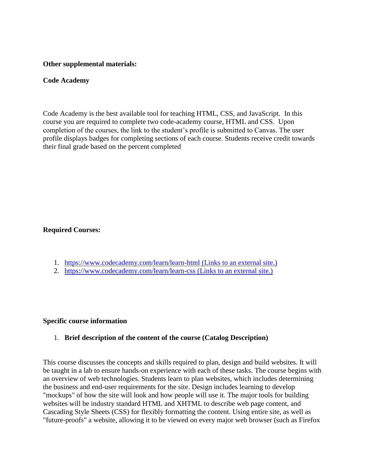#### **Other supplemental materials:**

#### **Code Academy**

Code Academy is the best available tool for teaching HTML, CSS, and JavaScript. In this course you are required to complete two code-academy course, HTML and CSS. Upon completion of the courses, the link to the student's profile is submitted to Canvas. The user profile displays badges for completing sections of each course. Students receive credit towards their final grade based on the percent completed

#### **Required Courses:**

- 1. <https://www.codecademy.com/learn/learn-html> (Links to an external site.)
- 2. <https://www.codecademy.com/learn/learn-css> (Links to an external site.)

#### **Specific course information**

#### 1. **Brief description of the content of the course (Catalog Description)**

This course discusses the concepts and skills required to plan, design and build websites. It will be taught in a lab to ensure hands-on experience with each of these tasks. The course begins with an overview of web technologies. Students learn to plan websites, which includes determining the business and end-user requirements for the site. Design includes learning to develop "mockups" of how the site will look and how people will use it. The major tools for building websites will be industry standard HTML and XHTML to describe web page content, and Cascading Style Sheets (CSS) for flexibly formatting the content. Using entire site, as well as "future-proofs" a website, allowing it to be viewed on every major web browser (such as Firefox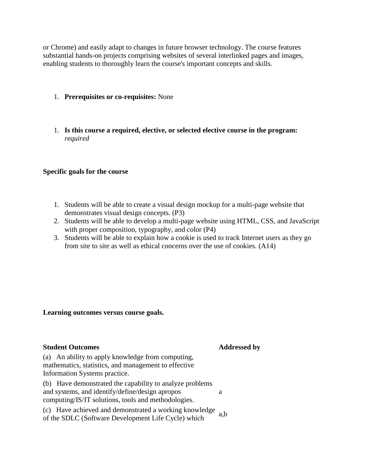or Chrome) and easily adapt to changes in future browser technology. The course features substantial hands-on projects comprising websites of several interlinked pages and images, enabling students to thoroughly learn the course's important concepts and skills.

- 1. **Prerequisites or co-requisites:** None
- 1. **Is this course a required, elective, or selected elective course in the program:**  *required*

#### **Specific goals for the course**

- 1. Students will be able to create a visual design mockup for a multi-page website that demonstrates visual design concepts. (P3)
- 2. Students will be able to develop a multi-page website using HTML, CSS, and JavaScript with proper composition, typography, and color (P4)
- 3. Students will be able to explain how a cookie is used to track Internet users as they go from site to site as well as ethical concerns over the use of cookies. (A14)

#### **Learning outcomes versus course goals.**

#### **Student Outcomes Addressed by**

(a) An ability to apply knowledge from computing, mathematics, statistics, and management to effective Information Systems practice.

(b) Have demonstrated the capability to analyze problems and systems, and identify/define/design apropos computing/IS/IT solutions, tools and methodologies. a

(c) Have achieved and demonstrated a working knowledge of the SDLC (Software Development Life Cycle) which  $a,b$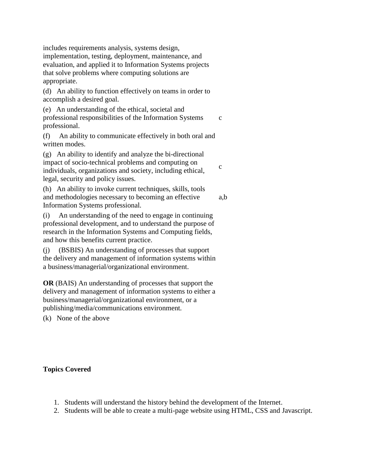includes requirements analysis, systems design, implementation, testing, deployment, maintenance, and evaluation, and applied it to Information Systems projects that solve problems where computing solutions are appropriate.

(d) An ability to function effectively on teams in order to accomplish a desired goal.

(e) An understanding of the ethical, societal and professional responsibilities of the Information Systems professional. c

(f) An ability to communicate effectively in both oral and written modes.

(g) An ability to identify and analyze the bi-directional impact of socio-technical problems and computing on individuals, organizations and society, including ethical, legal, security and policy issues.

(h) An ability to invoke current techniques, skills, tools and methodologies necessary to becoming an effective Information Systems professional*.* a,b

(i) An understanding of the need to engage in continuing professional development, and to understand the purpose of research in the Information Systems and Computing fields, and how this benefits current practice.

(j) (BSBIS) An understanding of processes that support the delivery and management of information systems within a business/managerial/organizational environment.

**OR** (BAIS) An understanding of processes that support the delivery and management of information systems to either a business/managerial/organizational environment, or a publishing/media/communications environment*.*

(k) None of the above

#### **Topics Covered**

- 1. Students will understand the history behind the development of the Internet.
- 2. Students will be able to create a multi-page website using HTML, CSS and Javascript.

c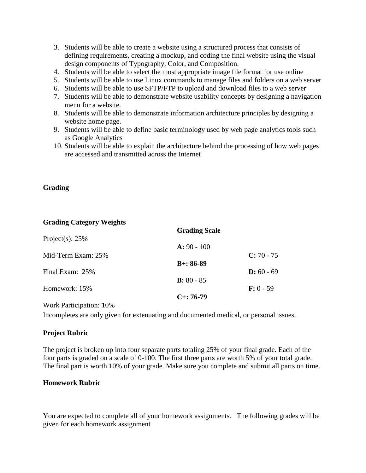- 3. Students will be able to create a website using a structured process that consists of defining requirements, creating a mockup, and coding the final website using the visual design components of Typography, Color, and Composition.
- 4. Students will be able to select the most appropriate image file format for use online
- 5. Students will be able to use Linux commands to manage files and folders on a web server
- 6. Students will be able to use SFTP/FTP to upload and download files to a web server
- 7. Students will be able to demonstrate website usability concepts by designing a navigation menu for a website.
- 8. Students will be able to demonstrate information architecture principles by designing a website home page.
- 9. Students will be able to define basic terminology used by web page analytics tools such as Google Analytics
- 10. Students will be able to explain the architecture behind the processing of how web pages are accessed and transmitted across the Internet

#### **Grading**

#### **Grading Category Weights**

|                    | <b>Grading Scale</b> |              |
|--------------------|----------------------|--------------|
| Project(s): $25%$  |                      |              |
|                    | $A: 90 - 100$        |              |
| Mid-Term Exam: 25% |                      | $C: 70 - 75$ |
|                    | $B+: 86-89$          |              |
| Final Exam: 25%    |                      | $D: 60 - 69$ |
|                    | $B: 80 - 85$         |              |
| Homework: 15%      |                      | $F: 0 - 59$  |
|                    | $C_{+}$ : 76-79      |              |
|                    |                      |              |

Work Participation: 10%

Incompletes are only given for extenuating and documented medical, or personal issues.

#### **Project Rubric**

The project is broken up into four separate parts totaling 25% of your final grade. Each of the four parts is graded on a scale of 0-100. The first three parts are worth 5% of your total grade. The final part is worth 10% of your grade. Make sure you complete and submit all parts on time.

#### **Homework Rubric**

You are expected to complete all of your homework assignments. The following grades will be given for each homework assignment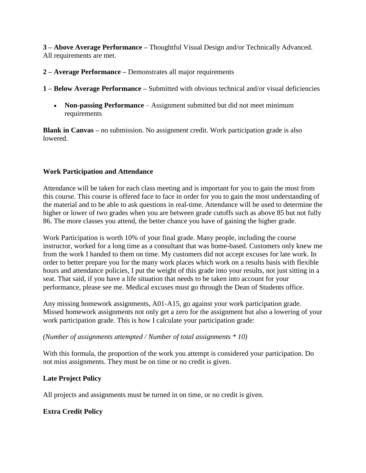**3 – Above Average Performance –** Thoughtful Visual Design and/or Technically Advanced. All requirements are met.

#### **2 – Average Performance –** Demonstrates all major requirements

**1 – Below Average Performance –** Submitted with obvious technical and/or visual deficiencies

 **Non-passing Performance** – Assignment submitted but did not meet minimum requirements

**Blank in Canvas –** no submission. No assignment credit. Work participation grade is also lowered.

#### **Work Participation and Attendance**

Attendance will be taken for each class meeting and is important for you to gain the most from this course. This course is offered face to face in order for you to gain the most understanding of the material and to be able to ask questions in real-time. Attendance will be used to determine the higher or lower of two grades when you are between grade cutoffs such as above 85 but not fully 86. The more classes you attend, the better chance you have of gaining the higher grade.

Work Participation is worth 10% of your final grade. Many people, including the course instructor, worked for a long time as a consultant that was home-based. Customers only knew me from the work I handed to them on time. My customers did not accept excuses for late work. In order to better prepare you for the many work places which work on a results basis with flexible hours and attendance policies, I put the weight of this grade into your results, not just sitting in a seat. That said, if you have a life situation that needs to be taken into account for your performance, please see me. Medical excuses must go through the Dean of Students office.

Any missing homework assignments, A01-A15, go against your work participation grade. Missed homework assignments not only get a zero for the assignment but also a lowering of your work participation grade. This is how I calculate your participation grade:

#### *(Number of assignments attempted / Number of total assignments \* 10)*

With this formula, the proportion of the work you attempt is considered your participation. Do not miss assignments. They must be on time or no credit is given.

#### **Late Project Policy**

All projects and assignments must be turned in on time, or no credit is given.

#### **Extra Credit Policy**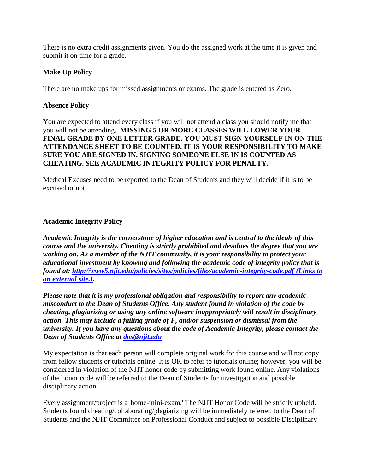There is no extra credit assignments given. You do the assigned work at the time it is given and submit it on time for a grade.

#### **Make Up Policy**

There are no make ups for missed assignments or exams. The grade is entered as Zero.

#### **Absence Policy**

You are expected to attend every class if you will not attend a class you should notify me that you will not be attending. **MISSING 5 OR MORE CLASSES WILL LOWER YOUR FINAL GRADE BY ONE LETTER GRADE. YOU MUST SIGN YOURSELF IN ON THE ATTENDANCE SHEET TO BE COUNTED. IT IS YOUR RESPONSIBILITY TO MAKE SURE YOU ARE SIGNED IN. SIGNING SOMEONE ELSE IN IS COUNTED AS CHEATING. SEE ACADEMIC INTEGRITY POLICY FOR PENALTY.**

Medical Excuses need to be reported to the Dean of Students and they will decide if it is to be excused or not.

#### **Academic Integrity Policy**

*Academic Integrity is the cornerstone of higher education and is central to the ideals of this course and the university. Cheating is strictly prohibited and devalues the degree that you are working on. As a member of the NJIT community, it is your responsibility to protect your educational investment by knowing and following the academic code of integrity policy that is found at:<http://www5.njit.edu/policies/sites/policies/files/academic-integrity-code.pdf> (Links to [an external site.\).](http://www5.njit.edu/policies/sites/policies/files/academic-integrity-code.pdf)* 

*Please note that it is my professional obligation and responsibility to report any academic misconduct to the Dean of Students Office. Any student found in violation of the code by cheating, plagiarizing or using any online software inappropriately will result in disciplinary action. This may include a failing grade of F, and/or suspension or dismissal from the university. If you have any questions about the code of Academic Integrity, please contact the Dean of Students Office at [dos@njit.edu](mailto:dos@njit.edu)*

My expectation is that each person will complete original work for this course and will not copy from fellow students or tutorials online. It is OK to refer to tutorials online; however, you will be considered in violation of the NJIT honor code by submitting work found online. Any violations of the honor code will be referred to the Dean of Students for investigation and possible disciplinary action.

Every assignment/project is a 'home-mini-exam.' The NJIT Honor Code will be strictly upheld. Students found cheating/collaborating/plagiarizing will be immediately referred to the Dean of Students and the NJIT Committee on Professional Conduct and subject to possible Disciplinary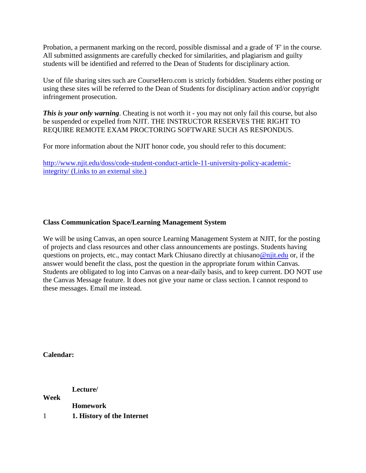Probation, a permanent marking on the record, possible dismissal and a grade of 'F' in the course. All submitted assignments are carefully checked for similarities, and plagiarism and guilty students will be identified and referred to the Dean of Students for disciplinary action.

Use of file sharing sites such are CourseHero.com is strictly forbidden. Students either posting or using these sites will be referred to the Dean of Students for disciplinary action and/or copyright infringement prosecution.

**This is your only warning.** Cheating is not worth it - you may not only fail this course, but also be suspended or expelled from NJIT. THE INSTRUCTOR RESERVES THE RIGHT TO REQUIRE REMOTE EXAM PROCTORING SOFTWARE SUCH AS RESPONDUS.

For more information about the NJIT honor code, you should refer to this document:

[http://www.njit.edu/doss/code-student-conduct-article-11-university-policy-academic](http://www.njit.edu/doss/code-student-conduct-article-11-university-policy-academic-integrity/)integrity/ [\(Links to an external site.\)](http://www.njit.edu/doss/code-student-conduct-article-11-university-policy-academic-integrity/)

#### **Class Communication Space/Learning Management System**

We will be using Canvas, an open source Learning Management System at NJIT, for the posting of projects and class resources and other class announcements are postings. Students having questions on projects, etc., may contact Mark Chiusano directly at chiusan[o@njit.edu](mailto:ahh2@njit.edu) or, if the answer would benefit the class, post the question in the appropriate forum within Canvas. Students are obligated to log into Canvas on a near-daily basis, and to keep current. DO NOT use the Canvas Message feature. It does not give your name or class section. I cannot respond to these messages. Email me instead.

**Calendar:**

**Week Lecture/ Homework** 1 **1. History of the Internet**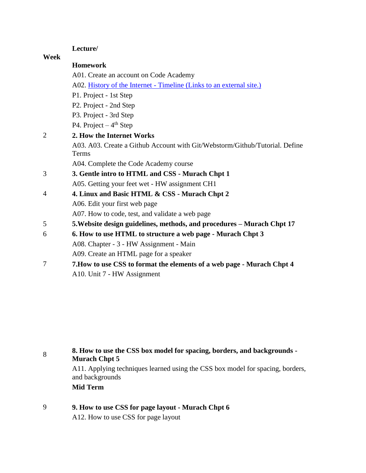#### **Lecture/**

**Week**

**Homework**

A01. Create an account on Code Academy A02. History of the Internet - Timeline [\(Links to an external site.\)](http://njit2.mrooms.net/mod/assign/view.php?id=499575) P1. Project - 1st Step P2. Project - 2nd Step P3. Project - 3rd Step P4. Project  $-4$ <sup>th</sup> Step 2 **2. How the Internet Works** A03. A03. Create a Github Account with Git/Webstorm/Github/Tutorial. Define Terms A04. Complete the Code Academy course 3 **3. Gentle intro to HTML and CSS - Murach Chpt 1** A05. Getting your feet wet - HW assignment CH1 4 **4. Linux and Basic HTML & CSS - Murach Chpt 2** A06. Edit your first web page A07. How to code, test, and validate a web page 5 **5.Website design guidelines, methods, and procedures – Murach Chpt 17** 6 **6. How to use HTML to structure a web page - Murach Chpt 3** A08. Chapter - 3 - HW Assignment - Main

- A09. Create an HTML page for a speaker
- 7 **7.How to use CSS to format the elements of a web page - Murach Chpt 4** A10. Unit 7 - HW Assignment

| 8 | 8. How to use the CSS box model for spacing, borders, and backgrounds -<br><b>Murach Chpt 5</b>   |  |  |  |  |
|---|---------------------------------------------------------------------------------------------------|--|--|--|--|
|   | A11. Applying techniques learned using the CSS box model for spacing, borders,<br>and backgrounds |  |  |  |  |
|   | Mid Term                                                                                          |  |  |  |  |
| 9 | 9. How to use CSS for page layout - Murach Chpt 6                                                 |  |  |  |  |

A12. How to use CSS for page layout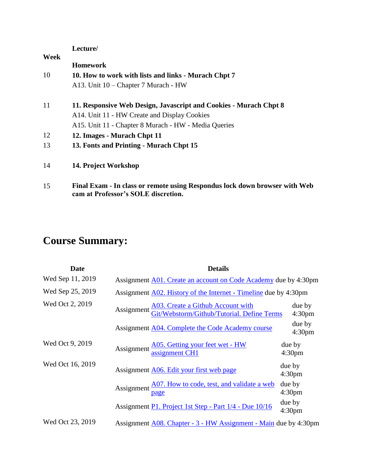|      | Lecture/                                                          |
|------|-------------------------------------------------------------------|
| Week |                                                                   |
|      | <b>Homework</b>                                                   |
| 10   | 10. How to work with lists and links - Murach Chpt 7              |
|      | A13. Unit 10 – Chapter 7 Murach - HW                              |
| 11   | 11. Responsive Web Design, Javascript and Cookies - Murach Chpt 8 |
|      | A14. Unit 11 - HW Create and Display Cookies                      |
|      | A15. Unit 11 - Chapter 8 Murach - HW - Media Queries              |
| 12   | 12. Images - Murach Chpt 11                                       |
| 13   | 13. Fonts and Printing - Murach Chpt 15                           |
| 14   | 14. Project Workshop                                              |

15 **Final Exam - In class or remote using Respondus lock down browser with Web cam at Professor's SOLE discretion.**

## **Course Summary:**

| <b>Date</b>      | <b>Details</b>                                                                                    |                              |  |
|------------------|---------------------------------------------------------------------------------------------------|------------------------------|--|
| Wed Sep 11, 2019 | Assignment A01. Create an account on Code Academy due by 4:30pm                                   |                              |  |
| Wed Sep 25, 2019 | Assignment A02. History of the Internet - Timeline due by 4:30pm                                  |                              |  |
| Wed Oct 2, 2019  | Assignment <u>A03. Create a Github Account with</u><br>Git/Webstorm/Github/Tutorial. Define Terms | due by<br>4:30 <sub>pm</sub> |  |
|                  | Assignment A04. Complete the Code Academy course                                                  | due by<br>4:30 <sub>pm</sub> |  |
| Wed Oct 9, 2019  | Assignment <u>A05. Getting your feet wet - HW</u><br>assignment CH1                               | due by<br>4:30pm             |  |
| Wed Oct 16, 2019 | Assignment A06. Edit your first web page                                                          | due by<br>4:30 <sub>pm</sub> |  |
|                  | Assignment $\frac{A07. \text{ How to code, test, and validate a web}}{\text{page}}$               | due by<br>4:30 <sub>pm</sub> |  |
|                  | Assignment P1. Project 1st Step - Part 1/4 - Due 10/16                                            | due by<br>4:30 <sub>pm</sub> |  |
| Wed Oct 23, 2019 | Assignment A08. Chapter - 3 - HW Assignment - Main due by 4:30pm                                  |                              |  |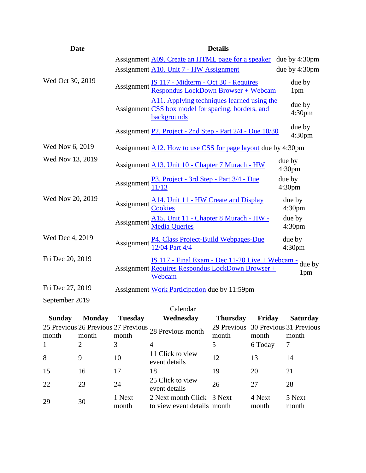| <b>Date</b>                    |                | <b>Details</b>                                                                                                              |                              |  |
|--------------------------------|----------------|-----------------------------------------------------------------------------------------------------------------------------|------------------------------|--|
|                                |                | Assignment A09. Create an HTML page for a speaker due by 4:30pm                                                             |                              |  |
|                                |                | Assignment A10. Unit 7 - HW Assignment                                                                                      | due by 4:30pm                |  |
| Wed Oct 30, 2019               |                | Assignment <u>IS 117 - Midterm - Oct 30 - Requires</u><br>Respondus LockDown Browser + Webcam                               | due by<br>1 <sub>pm</sub>    |  |
|                                |                | A11. Applying techniques learned using the<br>Assignment CSS box model for spacing, borders, and<br>backgrounds             | due by<br>4:30 <sub>pm</sub> |  |
|                                |                | Assignment P2. Project - 2nd Step - Part 2/4 - Due 10/30                                                                    | due by<br>4:30 <sub>pm</sub> |  |
| Wed Nov 6, 2019                |                | Assignment <b>A12.</b> How to use CSS for page layout due by 4:30pm                                                         |                              |  |
| Wed Nov 13, 2019               |                | Assignment A13. Unit 10 - Chapter 7 Murach - HW                                                                             | due by<br>4:30 <sub>pm</sub> |  |
|                                |                | Assignment $\frac{P3. \text{ Project - 3rd Step - Part } 3/4 - Due}{11/13}$                                                 | due by<br>4:30 <sub>pm</sub> |  |
| Wed Nov 20, 2019               |                | Assignment <u>A14. Unit 11 - HW Create and Display</u>                                                                      | due by<br>4:30 <sub>pm</sub> |  |
|                                |                | A15. Unit 11 - Chapter 8 Murach - HW -<br>Assignment Media Queries                                                          | due by<br>4:30 <sub>pm</sub> |  |
| Wed Dec 4, 2019                |                | Assignment P4. Class Project-Build Webpages-Due<br>12/04 Part 4/4                                                           | due by<br>4:30 <sub>pm</sub> |  |
| Fri Dec 20, 2019               |                | <u>IS 117 - Final Exam - Dec 11-20 Live + Webcam -</u> due by<br>Assignment Requires Respondus LockDown Browser +<br>Webcam | 1 <sub>pm</sub>              |  |
| Fri Dec 27, 2019               |                | Assignment Work Participation due by 11:59pm                                                                                |                              |  |
| September 2019                 |                |                                                                                                                             |                              |  |
|                                |                | Calendar                                                                                                                    |                              |  |
| <b>Monday</b><br><b>Sunday</b> | <b>Tuesday</b> | Wednesday<br>Thursday<br>Friday                                                                                             | <b>Saturday</b>              |  |
|                                |                | 25 Previous 26 Previous 27 Previous 20 Previous 29 Previous 30 Previous 31 Previous                                         |                              |  |

| Dunua y | $\mathbf{1}$ |                 | <b>TT CULLUSUAY</b>                                      | 1 Hul Suay                                   | r riuay daturuay |                 |
|---------|--------------|-----------------|----------------------------------------------------------|----------------------------------------------|------------------|-----------------|
| month   | month        | month           | 25 Previous 26 Previous 27 Previous 28 Previous month    | 29 Previous 30 Previous 31 Previous<br>month | month            | month           |
|         |              |                 | 4                                                        |                                              | 6 Today          | 7               |
| 8       | 9            | 10              | 11 Click to view<br>event details                        | 12                                           | 13               | 14              |
| 15      | 16           | 17              | 18                                                       | 19                                           | 20               | 21              |
| 22      | 23           | 24              | 25 Click to view<br>event details                        | 26                                           | 27               | 28              |
| 29      | 30           | 1 Next<br>month | 2 Next month Click 3 Next<br>to view event details month |                                              | 4 Next<br>month  | 5 Next<br>month |